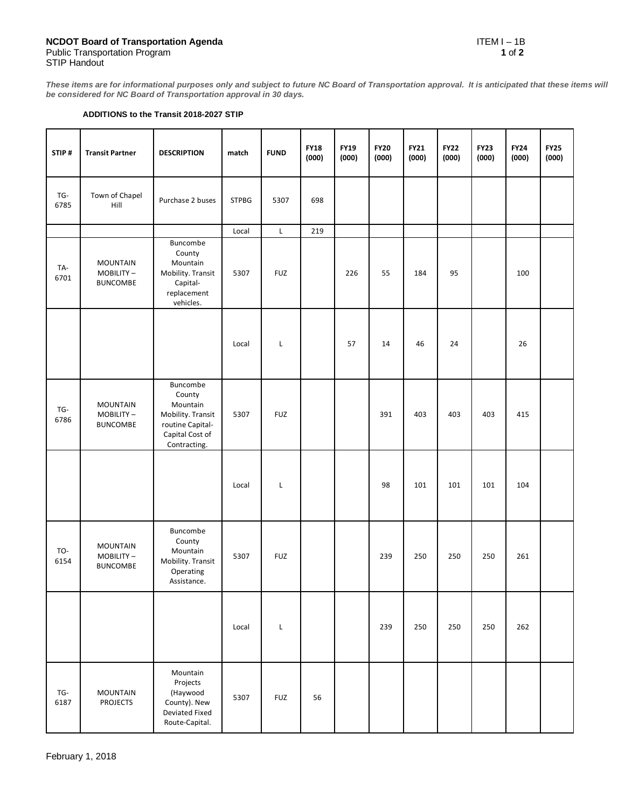**These items are for informational purposes only and subject to future NC Board of Transportation approval. It is anticipated that these items will be considered for NC Board of Transportation approval in 30 days.**

## **ADDITIONS to the Transit 2018-2027 STIP**

| STIP#       | <b>Transit Partner</b>                          | <b>DESCRIPTION</b>                                                                                         | match        | <b>FUND</b> | <b>FY18</b><br>(000) | <b>FY19</b><br>(000) | <b>FY20</b><br>(000) | <b>FY21</b><br>(000) | <b>FY22</b><br>(000) | <b>FY23</b><br>(000) | <b>FY24</b><br>(000) | <b>FY25</b><br>(000) |
|-------------|-------------------------------------------------|------------------------------------------------------------------------------------------------------------|--------------|-------------|----------------------|----------------------|----------------------|----------------------|----------------------|----------------------|----------------------|----------------------|
| TG-<br>6785 | Town of Chapel<br>Hill                          | Purchase 2 buses                                                                                           | <b>STPBG</b> | 5307        | 698                  |                      |                      |                      |                      |                      |                      |                      |
|             |                                                 |                                                                                                            | Local        | $\mathsf L$ | 219                  |                      |                      |                      |                      |                      |                      |                      |
| TA-<br>6701 | <b>MOUNTAIN</b><br>MOBILITY-<br><b>BUNCOMBE</b> | Buncombe<br>County<br>Mountain<br>Mobility. Transit<br>Capital-<br>replacement<br>vehicles.                | 5307         | <b>FUZ</b>  |                      | 226                  | 55                   | 184                  | 95                   |                      | 100                  |                      |
|             |                                                 |                                                                                                            | Local        | L           |                      | 57                   | 14                   | 46                   | 24                   |                      | 26                   |                      |
| TG-<br>6786 | <b>MOUNTAIN</b><br>MOBILITY-<br><b>BUNCOMBE</b> | Buncombe<br>County<br>Mountain<br>Mobility. Transit<br>routine Capital-<br>Capital Cost of<br>Contracting. | 5307         | <b>FUZ</b>  |                      |                      | 391                  | 403                  | 403                  | 403                  | 415                  |                      |
|             |                                                 |                                                                                                            | Local        | L           |                      |                      | 98                   | 101                  | 101                  | 101                  | 104                  |                      |
| TO-<br>6154 | <b>MOUNTAIN</b><br>MOBILITY-<br><b>BUNCOMBE</b> | Buncombe<br>County<br>Mountain<br>Mobility. Transit<br>Operating<br>Assistance.                            | 5307         | <b>FUZ</b>  |                      |                      | 239                  | 250                  | 250                  | 250                  | 261                  |                      |
|             |                                                 |                                                                                                            | Local        | L           |                      |                      | 239                  | 250                  | 250                  | 250                  | 262                  |                      |
| TG-<br>6187 | <b>MOUNTAIN</b><br><b>PROJECTS</b>              | Mountain<br>Projects<br>(Haywood<br>County). New<br>Deviated Fixed<br>Route-Capital.                       | 5307         | <b>FUZ</b>  | 56                   |                      |                      |                      |                      |                      |                      |                      |